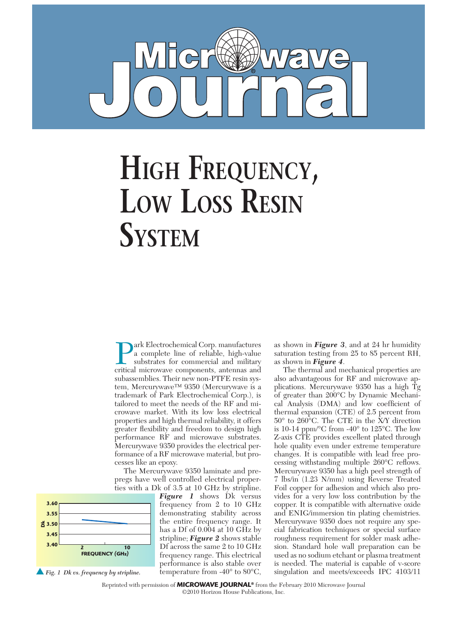

## **HigH Frequency,**  Low Loss Resin **system**

**Park Electrochemical Corp. manufactures**<br>a complete line of reliable, high-value<br>substrates for commercial and military<br>critical microwave components antennas and a complete line of reliable, high-value substrates for commercial and military critical microwave components, antennas and subassemblies. Their new non-PTFE resin system, Mercurywave™ 9350 (Mercurywave is a trademark of Park Electrochemical Corp.), is tailored to meet the needs of the RF and microwave market. With its low loss electrical properties and high thermal reliability, it offers greater flexibility and freedom to design high performance RF and microwave substrates. Mercurywave 9350 provides the electrical performance of a RF microwave material, but processes like an epoxy.

The Mercurywave 9350 laminate and prepregs have well controlled electrical properties with a Dk of 3.5 at 10 GHz by stripline.



*Figure 1* shows Dk versus frequency from 2 to 10 GHz demonstrating stability across the entire frequency range. It has a Df of 0.004 at 10 GHz by stripline; *Figure 2* shows stable Df across the same 2 to 10 GHz frequency range. This electrical performance is also stable over temperature from -40° to 80°C, as shown in *Figure 3*, and at 24 hr humidity saturation testing from 25 to 85 percent RH, as shown in *Figure 4*.

The thermal and mechanical properties are also advantageous for RF and microwave applications. Mercurywave 9350 has a high Tg of greater than 200°C by Dynamic Mechanical Analysis (DMA) and low coefficient of thermal expansion (CTE) of 2.5 percent from 50° to 260°C. The CTE in the X/Y direction is 10-14 ppm/°C from -40° to 125°C. The low Z-axis CTE provides excellent plated through hole quality even under extreme temperature changes. It is compatible with lead free processing withstanding multiple 260°C reflows. Mercurywave 9350 has a high peel strength of 7 lbs/in (1.23 N/mm) using Reverse Treated Foil copper for adhesion and which also provides for a very low loss contribution by the copper. It is compatible with alternative oxide and ENIG/immersion tin plating chemistries. Mercurywave 9350 does not require any special fabrication techniques or special surface roughness requirement for solder mask adhesion. Standard hole wall preparation can be used as no sodium etchant or plasma treatment is needed. The material is capable of v-score singulation and meets/exceeds IPC 4103/11

Reprinted with permission of **MICROWAVE JOURNAL®** from the February 2010 Microwave Journal ©2010 Horizon House Publications, Inc.